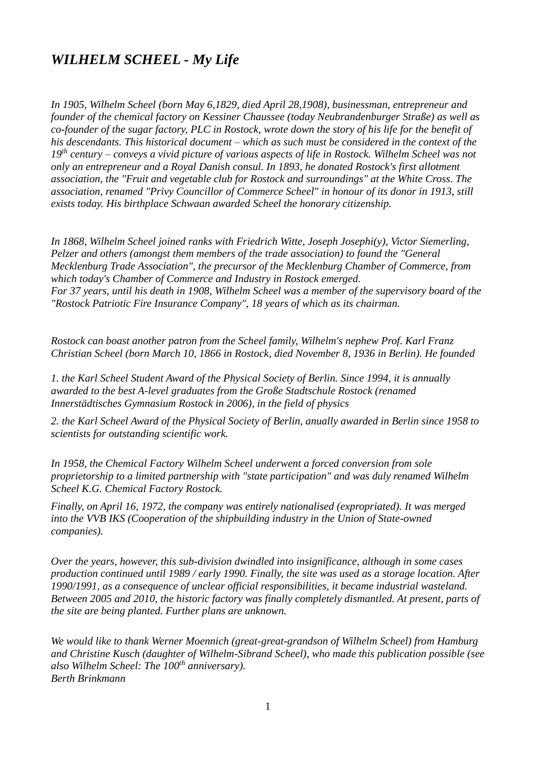# *WILHELM SCHEEL - My Life*

*In 1905, Wilhelm Scheel (born May 6,1829, died April 28,1908), businessman, entrepreneur and founder of the chemical factory on Kessiner Chaussee (today Neubrandenburger Straße) as well as co-founder of the sugar factory, PLC in Rostock, wrote down the story of his life for the benefit of his descendants. This historical document – which as such must be considered in the context of the 19th century – conveys a vivid picture of various aspects of life in Rostock. Wilhelm Scheel was not only an entrepreneur and a Royal Danish consul. In 1893, he donated Rostock's first allotment association, the "Fruit and vegetable club for Rostock and surroundings" at the White Cross. The association, renamed "Privy Councillor of Commerce Scheel" in honour of its donor in 1913, still exists today. His birthplace Schwaan awarded Scheel the honorary citizenship.*

*In 1868, Wilhelm Scheel joined ranks with Friedrich Witte, Joseph Josephi(y), Victor Siemerling, Pelzer and others (amongst them members of the trade association) to found the "General Mecklenburg Trade Association", the precursor of the Mecklenburg Chamber of Commerce, from which today's Chamber of Commerce and Industry in Rostock emerged. For 37 years, until his death in 1908, Wilhelm Scheel was a member of the supervisory board of the "Rostock Patriotic Fire Insurance Company", 18 years of which as its chairman.*

*Rostock can boast another patron from the Scheel family, Wilhelm's nephew Prof. Karl Franz Christian Scheel (born March 10, 1866 in Rostock, died November 8, 1936 in Berlin). He founded*

*1. the Karl Scheel Student Award of the Physical Society of Berlin. Since 1994, it is annually awarded to the best A-level graduates from the Große Stadtschule Rostock (renamed Innerstädtisches Gymnasium Rostock in 2006), in the field of physics*

*2. the Karl Scheel Award of the Physical Society of Berlin, anually awarded in Berlin since 1958 to scientists for outstanding scientific work.*

*In 1958, the Chemical Factory Wilhelm Scheel underwent a forced conversion from sole proprietorship to a limited partnership with "state participation" and was duly renamed Wilhelm Scheel K.G. Chemical Factory Rostock.*

*Finally, on April 16, 1972, the company was entirely nationalised (expropriated). It was merged into the VVB IKS (Cooperation of the shipbuilding industry in the Union of State-owned companies).* 

*Over the years, however, this sub-division dwindled into insignificance, although in some cases production continued until 1989 / early 1990. Finally, the site was used as a storage location. After 1990/1991, as a consequence of unclear official responsibilities, it became industrial wasteland. Between 2005 and 2010, the historic factory was finally completely dismantled. At present, parts of the site are being planted. Further plans are unknown.*

*We would like to thank Werner Moennich (great-great-grandson of Wilhelm Scheel) from Hamburg and Christine Kusch (daughter of Wilhelm-Sibrand Scheel), who made this publication possible (see also Wilhelm Scheel: The 100th anniversary). Berth Brinkmann*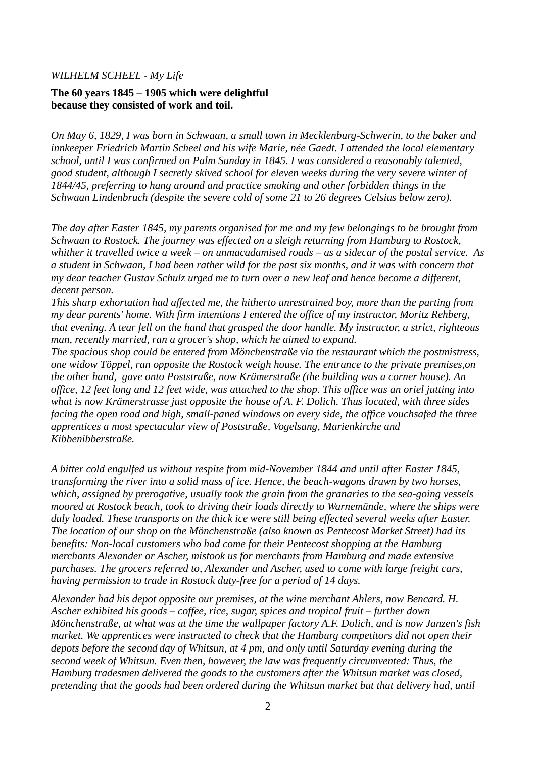#### *WILHELM SCHEEL - My Life*

## **The 60 years 1845 – 1905 which were delightful because they consisted of work and toil.**

*On May 6, 1829, I was born in Schwaan, a small town in Mecklenburg-Schwerin, to the baker and innkeeper Friedrich Martin Scheel and his wife Marie, née Gaedt. I attended the local elementary school, until I was confirmed on Palm Sunday in 1845. I was considered a reasonably talented, good student, although I secretly skived school for eleven weeks during the very severe winter of 1844/45, preferring to hang around and practice smoking and other forbidden things in the Schwaan Lindenbruch (despite the severe cold of some 21 to 26 degrees Celsius below zero).* 

*The day after Easter 1845, my parents organised for me and my few belongings to be brought from Schwaan to Rostock. The journey was effected on a sleigh returning from Hamburg to Rostock, whither it travelled twice a week – on unmacadamised roads – as a sidecar of the postal service. As a student in Schwaan, I had been rather wild for the past six months, and it was with concern that my dear teacher Gustav Schulz urged me to turn over a new leaf and hence become a different, decent person.* 

*This sharp exhortation had affected me, the hitherto unrestrained boy, more than the parting from my dear parents' home. With firm intentions I entered the office of my instructor, Moritz Rehberg, that evening. A tear fell on the hand that grasped the door handle. My instructor, a strict, righteous man, recently married, ran a grocer's shop, which he aimed to expand.*

*The spacious shop could be entered from Mönchenstraße via the restaurant which the postmistress, one widow Töppel, ran opposite the Rostock weigh house. The entrance to the private premises,on the other hand, gave onto Poststraße, now Krämerstraße (the building was a corner house). An office, 12 feet long and 12 feet wide, was attached to the shop. This office was an oriel jutting into what is now Krämerstrasse just opposite the house of A. F. Dolich. Thus located, with three sides facing the open road and high, small-paned windows on every side, the office vouchsafed the three apprentices a most spectacular view of Poststraße, Vogelsang, Marienkirche and Kibbenibberstraße.* 

*A bitter cold engulfed us without respite from mid-November 1844 and until after Easter 1845, transforming the river into a solid mass of ice. Hence, the beach-wagons drawn by two horses, which, assigned by prerogative, usually took the grain from the granaries to the sea-going vessels moored at Rostock beach, took to driving their loads directly to Warnemünde, where the ships were duly loaded. These transports on the thick ice were still being effected several weeks after Easter. The location of our shop on the Mönchenstraße (also known as Pentecost Market Street) had its benefits: Non-local customers who had come for their Pentecost shopping at the Hamburg merchants Alexander or Ascher, mistook us for merchants from Hamburg and made extensive purchases. The grocers referred to, Alexander and Ascher, used to come with large freight cars, having permission to trade in Rostock duty-free for a period of 14 days.*

*Alexander had his depot opposite our premises, at the wine merchant Ahlers, now Bencard. H. Ascher exhibited his goods – coffee, rice, sugar, spices and tropical fruit – further down Mönchenstraße, at what was at the time the wallpaper factory A.F. Dolich, and is now Janzen's fish market. We apprentices were instructed to check that the Hamburg competitors did not open their depots before the second day of Whitsun, at 4 pm, and only until Saturday evening during the second week of Whitsun. Even then, however, the law was frequently circumvented: Thus, the Hamburg tradesmen delivered the goods to the customers after the Whitsun market was closed, pretending that the goods had been ordered during the Whitsun market but that delivery had, until*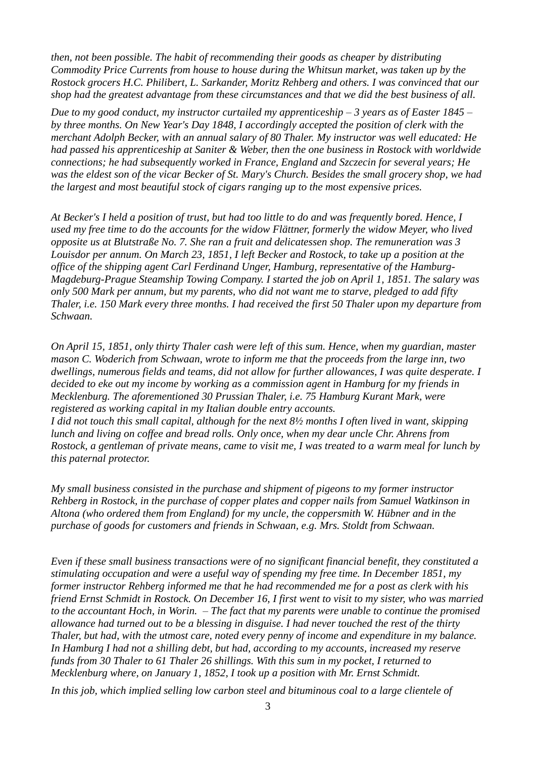*then, not been possible. The habit of recommending their goods as cheaper by distributing Commodity Price Currents from house to house during the Whitsun market, was taken up by the Rostock grocers H.C. Philibert, L. Sarkander, Moritz Rehberg and others. I was convinced that our shop had the greatest advantage from these circumstances and that we did the best business of all.*

*Due to my good conduct, my instructor curtailed my apprenticeship – 3 years as of Easter 1845 – by three months. On New Year's Day 1848, I accordingly accepted the position of clerk with the merchant Adolph Becker, with an annual salary of 80 Thaler. My instructor was well educated: He had passed his apprenticeship at Saniter & Weber, then the one business in Rostock with worldwide connections; he had subsequently worked in France, England and Szczecin for several years; He was the eldest son of the vicar Becker of St. Mary's Church. Besides the small grocery shop, we had the largest and most beautiful stock of cigars ranging up to the most expensive prices.*

*At Becker's I held a position of trust, but had too little to do and was frequently bored. Hence, I used my free time to do the accounts for the widow Flättner, formerly the widow Meyer, who lived opposite us at Blutstraße No. 7. She ran a fruit and delicatessen shop. The remuneration was 3 Louisdor per annum. On March 23, 1851, I left Becker and Rostock, to take up a position at the office of the shipping agent Carl Ferdinand Unger, Hamburg, representative of the Hamburg-Magdeburg-Prague Steamship Towing Company. I started the job on April 1, 1851. The salary was only 500 Mark per annum, but my parents, who did not want me to starve, pledged to add fifty Thaler, i.e. 150 Mark every three months. I had received the first 50 Thaler upon my departure from Schwaan.* 

*On April 15, 1851, only thirty Thaler cash were left of this sum. Hence, when my guardian, master mason C. Woderich from Schwaan, wrote to inform me that the proceeds from the large inn, two dwellings, numerous fields and teams, did not allow for further allowances, I was quite desperate. I decided to eke out my income by working as a commission agent in Hamburg for my friends in Mecklenburg. The aforementioned 30 Prussian Thaler, i.e. 75 Hamburg Kurant Mark, were registered as working capital in my Italian double entry accounts. I did not touch this small capital, although for the next 8½ months I often lived in want, skipping lunch and living on coffee and bread rolls. Only once, when my dear uncle Chr. Ahrens from Rostock, a gentleman of private means, came to visit me, I was treated to a warm meal for lunch by this paternal protector.*

*My small business consisted in the purchase and shipment of pigeons to my former instructor Rehberg in Rostock, in the purchase of copper plates and copper nails from Samuel Watkinson in Altona (who ordered them from England) for my uncle, the coppersmith W. Hübner and in the purchase of goods for customers and friends in Schwaan, e.g. Mrs. Stoldt from Schwaan.*

*Even if these small business transactions were of no significant financial benefit, they constituted a stimulating occupation and were a useful way of spending my free time. In December 1851, my former instructor Rehberg informed me that he had recommended me for a post as clerk with his friend Ernst Schmidt in Rostock. On December 16, I first went to visit to my sister, who was married to the accountant Hoch, in Worin. – The fact that my parents were unable to continue the promised allowance had turned out to be a blessing in disguise. I had never touched the rest of the thirty Thaler, but had, with the utmost care, noted every penny of income and expenditure in my balance. In Hamburg I had not a shilling debt, but had, according to my accounts, increased my reserve funds from 30 Thaler to 61 Thaler 26 shillings. With this sum in my pocket, I returned to Mecklenburg where, on January 1, 1852, I took up a position with Mr. Ernst Schmidt.* 

*In this job, which implied selling low carbon steel and bituminous coal to a large clientele of*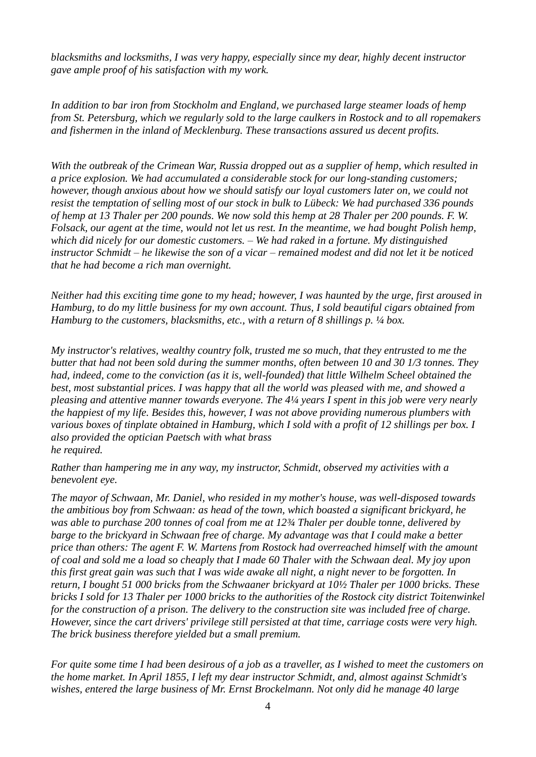*blacksmiths and locksmiths, I was very happy, especially since my dear, highly decent instructor gave ample proof of his satisfaction with my work.*

*In addition to bar iron from Stockholm and England, we purchased large steamer loads of hemp from St. Petersburg, which we regularly sold to the large caulkers in Rostock and to all ropemakers and fishermen in the inland of Mecklenburg. These transactions assured us decent profits.*

*With the outbreak of the Crimean War, Russia dropped out as a supplier of hemp, which resulted in a price explosion. We had accumulated a considerable stock for our long-standing customers; however, though anxious about how we should satisfy our loyal customers later on, we could not resist the temptation of selling most of our stock in bulk to Lübeck: We had purchased 336 pounds of hemp at 13 Thaler per 200 pounds. We now sold this hemp at 28 Thaler per 200 pounds. F. W. Folsack, our agent at the time, would not let us rest. In the meantime, we had bought Polish hemp, which did nicely for our domestic customers. – We had raked in a fortune. My distinguished instructor Schmidt – he likewise the son of a vicar – remained modest and did not let it be noticed that he had become a rich man overnight.* 

*Neither had this exciting time gone to my head; however, I was haunted by the urge, first aroused in Hamburg, to do my little business for my own account. Thus, I sold beautiful cigars obtained from Hamburg to the customers, blacksmiths, etc., with a return of 8 shillings p. ¼ box.*

*My instructor's relatives, wealthy country folk, trusted me so much, that they entrusted to me the butter that had not been sold during the summer months, often between 10 and 30 1/3 tonnes. They had, indeed, come to the conviction (as it is, well-founded) that little Wilhelm Scheel obtained the best, most substantial prices. I was happy that all the world was pleased with me, and showed a pleasing and attentive manner towards everyone. The 4¼ years I spent in this job were very nearly the happiest of my life. Besides this, however, I was not above providing numerous plumbers with various boxes of tinplate obtained in Hamburg, which I sold with a profit of 12 shillings per box. I also provided the optician Paetsch with what brass he required.*

*Rather than hampering me in any way, my instructor, Schmidt, observed my activities with a benevolent eye.*

*The mayor of Schwaan, Mr. Daniel, who resided in my mother's house, was well-disposed towards the ambitious boy from Schwaan: as head of the town, which boasted a significant brickyard, he was able to purchase 200 tonnes of coal from me at 12¾ Thaler per double tonne, delivered by barge to the brickyard in Schwaan free of charge. My advantage was that I could make a better price than others: The agent F. W. Martens from Rostock had overreached himself with the amount of coal and sold me a load so cheaply that I made 60 Thaler with the Schwaan deal. My joy upon this first great gain was such that I was wide awake all night, a night never to be forgotten. In return, I bought 51 000 bricks from the Schwaaner brickyard at 10½ Thaler per 1000 bricks. These bricks I sold for 13 Thaler per 1000 bricks to the authorities of the Rostock city district Toitenwinkel for the construction of a prison. The delivery to the construction site was included free of charge. However, since the cart drivers' privilege still persisted at that time, carriage costs were very high. The brick business therefore yielded but a small premium.* 

*For quite some time I had been desirous of a job as a traveller, as I wished to meet the customers on the home market. In April 1855, I left my dear instructor Schmidt, and, almost against Schmidt's wishes, entered the large business of Mr. Ernst Brockelmann. Not only did he manage 40 large*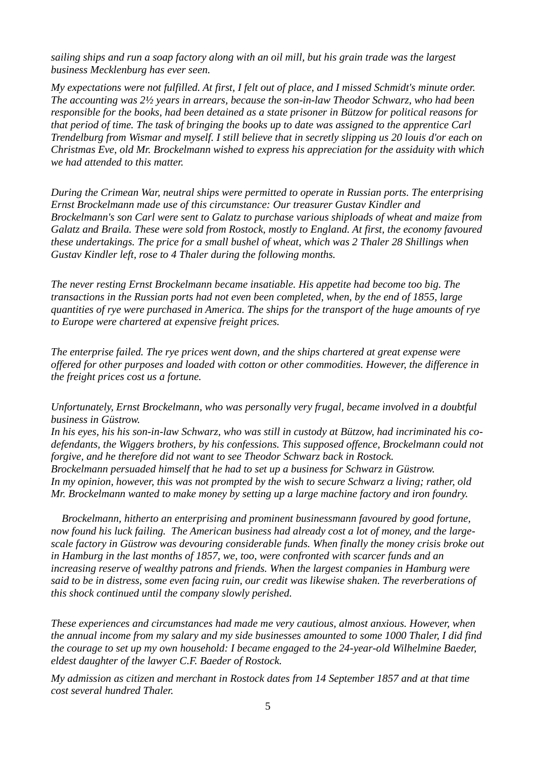*sailing ships and run a soap factory along with an oil mill, but his grain trade was the largest business Mecklenburg has ever seen.*

*My expectations were not fulfilled. At first, I felt out of place, and I missed Schmidt's minute order. The accounting was 2½ years in arrears, because the son-in-law Theodor Schwarz, who had been responsible for the books, had been detained as a state prisoner in Bützow for political reasons for that period of time. The task of bringing the books up to date was assigned to the apprentice Carl Trendelburg from Wismar and myself. I still believe that in secretly slipping us 20 louis d'or each on Christmas Eve, old Mr. Brockelmann wished to express his appreciation for the assiduity with which we had attended to this matter.*

*During the Crimean War, neutral ships were permitted to operate in Russian ports. The enterprising Ernst Brockelmann made use of this circumstance: Our treasurer Gustav Kindler and Brockelmann's son Carl were sent to Galatz to purchase various shiploads of wheat and maize from Galatz and Braila. These were sold from Rostock, mostly to England. At first, the economy favoured these undertakings. The price for a small bushel of wheat, which was 2 Thaler 28 Shillings when Gustav Kindler left, rose to 4 Thaler during the following months.* 

*The never resting Ernst Brockelmann became insatiable. His appetite had become too big. The transactions in the Russian ports had not even been completed, when, by the end of 1855, large quantities of rye were purchased in America. The ships for the transport of the huge amounts of rye to Europe were chartered at expensive freight prices.*

*The enterprise failed. The rye prices went down, and the ships chartered at great expense were offered for other purposes and loaded with cotton or other commodities. However, the difference in the freight prices cost us a fortune.*

*Unfortunately, Ernst Brockelmann, who was personally very frugal, became involved in a doubtful business in Güstrow.*

*In his eyes, his his son-in-law Schwarz, who was still in custody at Bützow, had incriminated his codefendants, the Wiggers brothers, by his confessions. This supposed offence, Brockelmann could not forgive, and he therefore did not want to see Theodor Schwarz back in Rostock. Brockelmann persuaded himself that he had to set up a business for Schwarz in Güstrow. In my opinion, however, this was not prompted by the wish to secure Schwarz a living; rather, old Mr. Brockelmann wanted to make money by setting up a large machine factory and iron foundry.* 

*Brockelmann, hitherto an enterprising and prominent businessmann favoured by good fortune, now found his luck failing. The American business had already cost a lot of money, and the largescale factory in Güstrow was devouring considerable funds. When finally the money crisis broke out in Hamburg in the last months of 1857, we, too, were confronted with scarcer funds and an increasing reserve of wealthy patrons and friends. When the largest companies in Hamburg were said to be in distress, some even facing ruin, our credit was likewise shaken. The reverberations of this shock continued until the company slowly perished.*

*These experiences and circumstances had made me very cautious, almost anxious. However, when the annual income from my salary and my side businesses amounted to some 1000 Thaler, I did find the courage to set up my own household: I became engaged to the 24-year-old Wilhelmine Baeder, eldest daughter of the lawyer C.F. Baeder of Rostock.* 

*My admission as citizen and merchant in Rostock dates from 14 September 1857 and at that time cost several hundred Thaler.*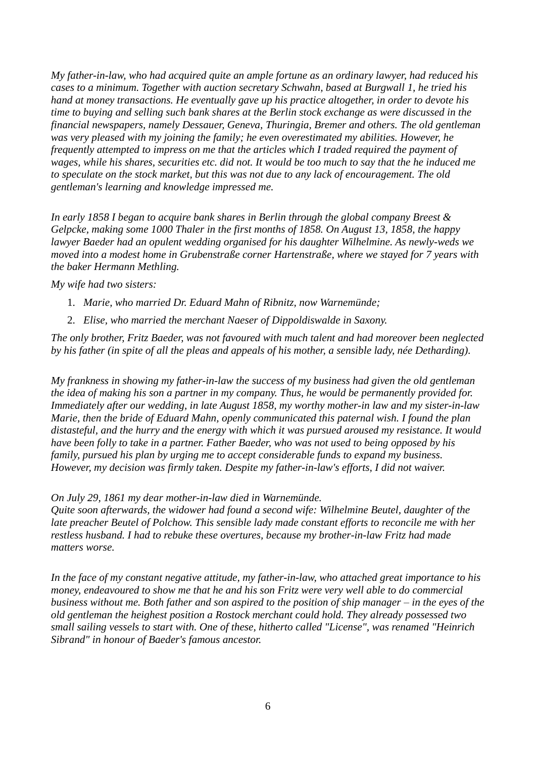*My father-in-law, who had acquired quite an ample fortune as an ordinary lawyer, had reduced his cases to a minimum. Together with auction secretary Schwahn, based at Burgwall 1, he tried his hand at money transactions. He eventually gave up his practice altogether, in order to devote his time to buying and selling such bank shares at the Berlin stock exchange as were discussed in the financial newspapers, namely Dessauer, Geneva, Thuringia, Bremer and others. The old gentleman was very pleased with my joining the family; he even overestimated my abilities. However, he frequently attempted to impress on me that the articles which I traded required the payment of wages, while his shares, securities etc. did not. It would be too much to say that the he induced me to speculate on the stock market, but this was not due to any lack of encouragement. The old gentleman's learning and knowledge impressed me.* 

*In early 1858 I began to acquire bank shares in Berlin through the global company Breest & Gelpcke, making some 1000 Thaler in the first months of 1858. On August 13, 1858, the happy lawyer Baeder had an opulent wedding organised for his daughter Wilhelmine. As newly-weds we moved into a modest home in Grubenstraße corner Hartenstraße, where we stayed for 7 years with the baker Hermann Methling.*

*My wife had two sisters:*

- 1. *Marie, who married Dr. Eduard Mahn of Ribnitz, now Warnemünde;*
- 2. *Elise, who married the merchant Naeser of Dippoldiswalde in Saxony.*

*The only brother, Fritz Baeder, was not favoured with much talent and had moreover been neglected by his father (in spite of all the pleas and appeals of his mother, a sensible lady, née Detharding).*

*My frankness in showing my father-in-law the success of my business had given the old gentleman the idea of making his son a partner in my company. Thus, he would be permanently provided for. Immediately after our wedding, in late August 1858, my worthy mother-in law and my sister-in-law Marie, then the bride of Eduard Mahn, openly communicated this paternal wish. I found the plan distasteful, and the hurry and the energy with which it was pursued aroused my resistance. It would have been folly to take in a partner. Father Baeder, who was not used to being opposed by his family, pursued his plan by urging me to accept considerable funds to expand my business. However, my decision was firmly taken. Despite my father-in-law's efforts, I did not waiver.* 

*On July 29, 1861 my dear mother-in-law died in Warnemünde.*

*Quite soon afterwards, the widower had found a second wife: Wilhelmine Beutel, daughter of the late preacher Beutel of Polchow. This sensible lady made constant efforts to reconcile me with her restless husband. I had to rebuke these overtures, because my brother-in-law Fritz had made matters worse.*

*In the face of my constant negative attitude, my father-in-law, who attached great importance to his money, endeavoured to show me that he and his son Fritz were very well able to do commercial business without me. Both father and son aspired to the position of ship manager – in the eyes of the old gentleman the heighest position a Rostock merchant could hold. They already possessed two small sailing vessels to start with. One of these, hitherto called "License", was renamed "Heinrich Sibrand" in honour of Baeder's famous ancestor.*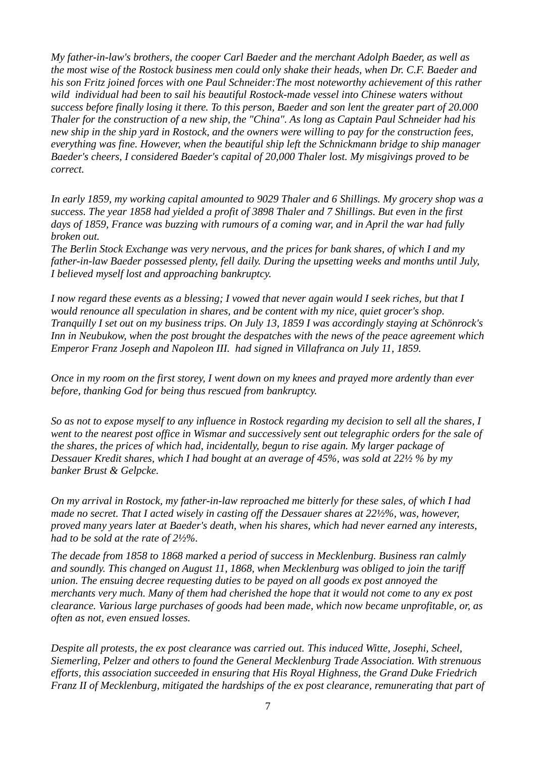*My father-in-law's brothers, the cooper Carl Baeder and the merchant Adolph Baeder, as well as the most wise of the Rostock business men could only shake their heads, when Dr. C.F. Baeder and his son Fritz joined forces with one Paul Schneider:The most noteworthy achievement of this rather wild individual had been to sail his beautiful Rostock-made vessel into Chinese waters without success before finally losing it there. To this person, Baeder and son lent the greater part of 20.000 Thaler for the construction of a new ship, the "China". As long as Captain Paul Schneider had his new ship in the ship yard in Rostock, and the owners were willing to pay for the construction fees, everything was fine. However, when the beautiful ship left the Schnickmann bridge to ship manager Baeder's cheers, I considered Baeder's capital of 20,000 Thaler lost. My misgivings proved to be correct.* 

*In early 1859, my working capital amounted to 9029 Thaler and 6 Shillings. My grocery shop was a success. The year 1858 had yielded a profit of 3898 Thaler and 7 Shillings. But even in the first days of 1859, France was buzzing with rumours of a coming war, and in April the war had fully broken out.*

*The Berlin Stock Exchange was very nervous, and the prices for bank shares, of which I and my father-in-law Baeder possessed plenty, fell daily. During the upsetting weeks and months until July, I believed myself lost and approaching bankruptcy.*

*I now regard these events as a blessing; I vowed that never again would I seek riches, but that I would renounce all speculation in shares, and be content with my nice, quiet grocer's shop. Tranquilly I set out on my business trips. On July 13, 1859 I was accordingly staying at Schönrock's Inn in Neubukow, when the post brought the despatches with the news of the peace agreement which Emperor Franz Joseph and Napoleon III. had signed in Villafranca on July 11, 1859.*

*Once in my room on the first storey, I went down on my knees and prayed more ardently than ever before, thanking God for being thus rescued from bankruptcy.*

*So as not to expose myself to any influence in Rostock regarding my decision to sell all the shares, I went to the nearest post office in Wismar and successively sent out telegraphic orders for the sale of the shares, the prices of which had, incidentally, begun to rise again. My larger package of Dessauer Kredit shares, which I had bought at an average of 45%, was sold at 22½ % by my banker Brust & Gelpcke.* 

*On my arrival in Rostock, my father-in-law reproached me bitterly for these sales, of which I had made no secret. That I acted wisely in casting off the Dessauer shares at 22½%, was, however, proved many years later at Baeder's death, when his shares, which had never earned any interests, had to be sold at the rate of 2½%.*

*The decade from 1858 to 1868 marked a period of success in Mecklenburg. Business ran calmly and soundly. This changed on August 11, 1868, when Mecklenburg was obliged to join the tariff union. The ensuing decree requesting duties to be payed on all goods ex post annoyed the merchants very much. Many of them had cherished the hope that it would not come to any ex post clearance. Various large purchases of goods had been made, which now became unprofitable, or, as often as not, even ensued losses.*

*Despite all protests, the ex post clearance was carried out. This induced Witte, Josephi, Scheel, Siemerling, Pelzer and others to found the General Mecklenburg Trade Association. With strenuous efforts, this association succeeded in ensuring that His Royal Highness, the Grand Duke Friedrich Franz II of Mecklenburg, mitigated the hardships of the ex post clearance, remunerating that part of*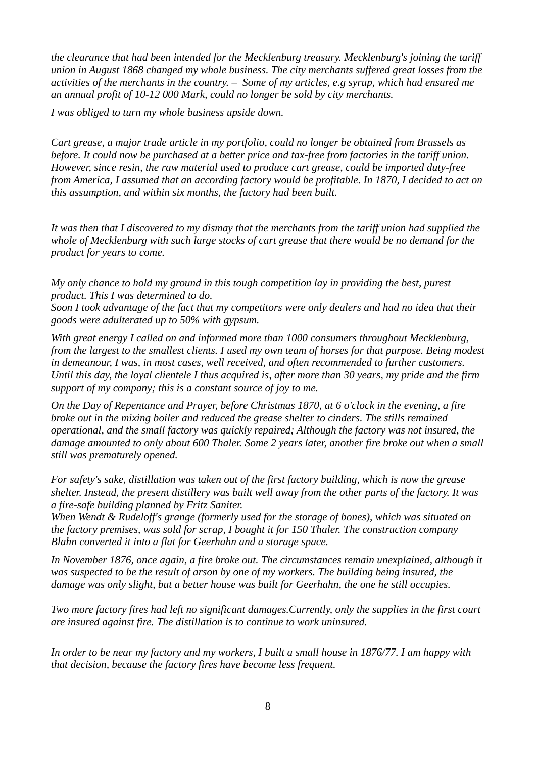*the clearance that had been intended for the Mecklenburg treasury. Mecklenburg's joining the tariff union in August 1868 changed my whole business. The city merchants suffered great losses from the activities of the merchants in the country. – Some of my articles, e.g syrup, which had ensured me an annual profit of 10-12 000 Mark, could no longer be sold by city merchants.* 

*I was obliged to turn my whole business upside down.* 

*Cart grease, a major trade article in my portfolio, could no longer be obtained from Brussels as before. It could now be purchased at a better price and tax-free from factories in the tariff union. However, since resin, the raw material used to produce cart grease, could be imported duty-free from America, I assumed that an according factory would be profitable. In 1870, I decided to act on this assumption, and within six months, the factory had been built.*

*It was then that I discovered to my dismay that the merchants from the tariff union had supplied the whole of Mecklenburg with such large stocks of cart grease that there would be no demand for the product for years to come.*

*My only chance to hold my ground in this tough competition lay in providing the best, purest product. This I was determined to do.* 

*Soon I took advantage of the fact that my competitors were only dealers and had no idea that their goods were adulterated up to 50% with gypsum.*

*With great energy I called on and informed more than 1000 consumers throughout Mecklenburg, from the largest to the smallest clients. I used my own team of horses for that purpose. Being modest in demeanour, I was, in most cases, well received, and often recommended to further customers. Until this day, the loyal clientele I thus acquired is, after more than 30 years, my pride and the firm support of my company; this is a constant source of joy to me.*

*On the Day of Repentance and Prayer, before Christmas 1870, at 6 o'clock in the evening, a fire broke out in the mixing boiler and reduced the grease shelter to cinders. The stills remained operational, and the small factory was quickly repaired; Although the factory was not insured, the damage amounted to only about 600 Thaler. Some 2 years later, another fire broke out when a small still was prematurely opened.* 

*For safety's sake, distillation was taken out of the first factory building, which is now the grease shelter. Instead, the present distillery was built well away from the other parts of the factory. It was a fire-safe building planned by Fritz Saniter.*

*When Wendt & Rudeloff's grange (formerly used for the storage of bones), which was situated on the factory premises, was sold for scrap, I bought it for 150 Thaler. The construction company Blahn converted it into a flat for Geerhahn and a storage space.* 

In November 1876, once again, a fire broke out. The circumstances remain unexplained, although it *was suspected to be the result of arson by one of my workers. The building being insured, the damage was only slight, but a better house was built for Geerhahn, the one he still occupies.*

*Two more factory fires had left no significant damages.Currently, only the supplies in the first court are insured against fire. The distillation is to continue to work uninsured.*

*In order to be near my factory and my workers, I built a small house in 1876/77. I am happy with that decision, because the factory fires have become less frequent.*